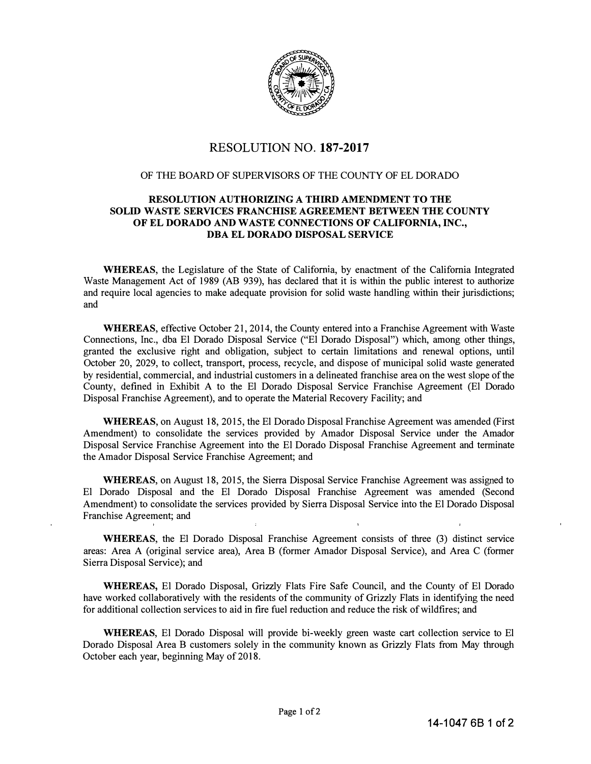

## RESOLUTION NO. **187-2017**

## OF THE BOARD OF SUPERVISORS OF THE COUNTY OF EL DORADO

## **RESOLUTION AUTHORIZING A THIRD AMENDMENT TO THE SOLID WASTE SERVICES FRANCHISE AGREEMENT BETWEEN THE COUNTY OF EL DORADO AND WASTE CONNECTIONS OF CALIFORNIA, INC., DBA EL DORADO DISPOSAL SERVICE**

**WHEREAS,** the Legislature of the State of California, by enactment of the California Integrated Waste Management Act of 1989 (AB 939), has declared that it is within the public interest to authorize and require local agencies to make adequate provision for solid waste handling within their jurisdictions; and

**WHEREAS,** effective October 21, 2014, the County entered into a Franchise Agreement with Waste Connections, Inc., dba El Dorado Disposal Service ("El Dorado Disposal") which, among other things, granted the exclusive right and obligation, subject to certain limitations and renewal options, until October 20, 2029, to collect, transport, process, recycle, and dispose of municipal solid waste generated by residential, commercial, and industrial customers in a delineated franchise area on the west slope of the County, defined in Exhibit A to the El Dorado Disposal Service Franchise Agreement (El Dorado Disposal Franchise Agreement), and to operate the Material Recovery Facility; and

**WHEREAS,** on August 18, 2015, the El Dorado Disposal Franchise Agreement was amended (First Amendment) to consolidate the services provided by Amador Disposal Service under the Amador Disposal Service Franchise Agreement into the El Dorado Disposal Franchise Agreement and terminate the Amador Disposal Service Franchise Agreement; and

**WHEREAS,** on August 18, 2015, the Sierra Disposal Service Franchise Agreement was assigned to El Dorado Disposal and the El Dorado Disposal Franchise Agreement was amended (Second Amendment) to consolidate the services provided by Sierra Disposal Service into the El Dorado Disposal Franchise Agreement; and

**WHEREAS,** the El Dorado Disposal Franchise Agreement consists of three (3) distinct service areas: Area A (original service area), Area B (former Amador Disposal Service), and Area C (former Sierra Disposal Service); and

**WHEREAS,** El Dorado Disposal, Grizzly Flats Fire Safe Council, and the County of El Dorado have worked collaboratively with the residents of the community of Grizzly Flats in identifying the need for additional collection services to aid in fire fuel reduction and reduce the risk of wildfires; and

**WHEREAS,** El Dorado Disposal will provide bi-weekly green waste cart collection service to El Dorado Disposal Area B customers solely in the community known as Grizzly Flats from May through October each year, beginning May of 2018.